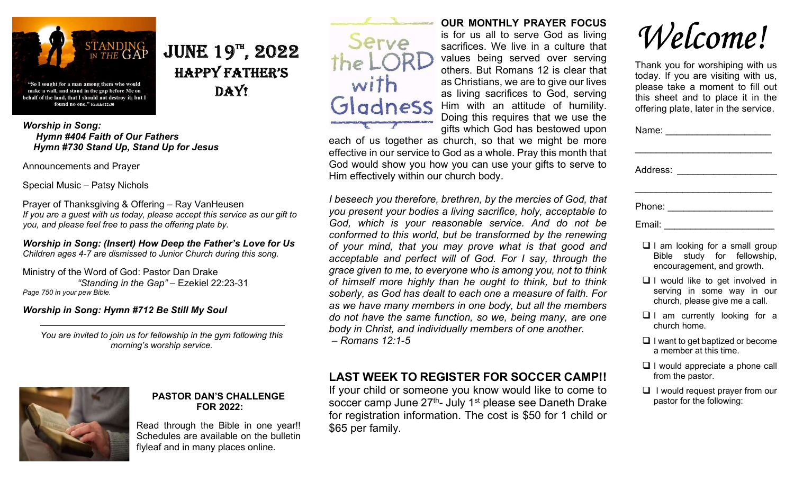

## $JUNE 19<sup>TH</sup>$ , 2022 happy Father's DAY!

Worship in Song: Hymn #404 Faith of Our Fathers Hymn #730 Stand Up, Stand Up for Jesus

Announcements and Prayer

Special Music – Patsy Nichols

Prayer of Thanksgiving & Offering – Ray VanHeusen If you are a guest with us today, please accept this service as our gift to you, and please feel free to pass the offering plate by.

Worship in Song: (Insert) How Deep the Father's Love for Us Children ages 4-7 are dismissed to Junior Church during this song.

Ministry of the Word of God: Pastor Dan Drake "Standing in the Gap" – Ezekiel 22:23-31 Page 750 in your pew Bible.

#### Worship in Song: Hymn #712 Be Still My Soul

You are invited to join us for fellowship in the gym following this morning's worship service.



#### PASTOR DAN'S CHALLENGE FOR 2022:

Read through the Bible in one year!! Schedules are available on the bulletin flyleaf and in many places online.



## OUR MONTHLY PRAYER FOCUS

is for us all to serve God as living sacrifices. We live in a culture that values being served over serving others. But Romans 12 is clear that as Christians, we are to give our lives as living sacrifices to God, serving Him with an attitude of humility. Doing this requires that we use the gifts which God has bestowed upon

each of us together as church, so that we might be more effective in our service to God as a whole. Pray this month that God would show you how you can use your gifts to serve to Him effectively within our church body.

I beseech you therefore, brethren, by the mercies of God, that you present your bodies a living sacrifice, holy, acceptable to God, which is your reasonable service. And do not be conformed to this world, but be transformed by the renewing of your mind, that you may prove what is that good and acceptable and perfect will of God. For I say, through the grace given to me, to everyone who is among you, not to think of himself more highly than he ought to think, but to think soberly, as God has dealt to each one a measure of faith. For as we have many members in one body, but all the members do not have the same function, so we, being many, are one body in Christ, and individually members of one another.

– Romans 12:1-5

## LAST WEEK TO REGISTER FOR SOCCER CAMP!!

If your child or someone you know would like to come to soccer camp June  $27<sup>th</sup>$ - July 1<sup>st</sup> please see Daneth Drake for registration information. The cost is \$50 for 1 child or \$65 per family.

Welcome!

Thank you for worshiping with us today. If you are visiting with us, please take a moment to fill out this sheet and to place it in the offering plate, later in the service.

| Name: _______________                                                                                 |  |  |
|-------------------------------------------------------------------------------------------------------|--|--|
|                                                                                                       |  |  |
| Address: 2008 2010 2021 2022 2023 2024 2022 2022 2023 2024 2022 2023 2024 2022 2023 2024 2022 2023 20 |  |  |
|                                                                                                       |  |  |
| Phone: _________________                                                                              |  |  |
| Email:                                                                                                |  |  |

- $\Box$  I am looking for a small group Bible study for fellowship, encouragement, and growth.
- $\Box$  I would like to get involved in serving in some way in our church, please give me a call.
- $\Box$  I am currently looking for a church home.
- $\Box$  I want to get baptized or become a member at this time.
- $\Box$  I would appreciate a phone call from the pastor.
- $\Box$  I would request prayer from our pastor for the following: